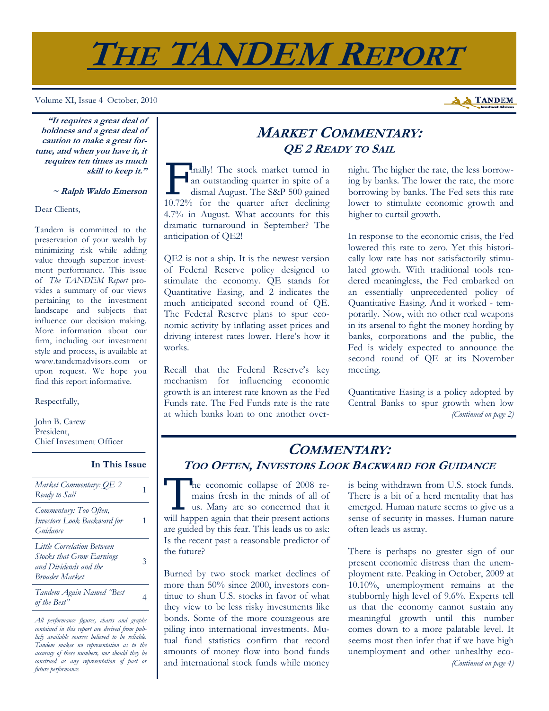

Volume XI, Issue 4 October, 2010

**A A TANDEM** 

**"It requires a great deal of boldness and a great deal of caution to make a great fortune, and when you have it, it requires ten times as much skill to keep it."** 

#### **~ Ralph Waldo Emerson**

Dear Clients,

Tandem is committed to the preservation of your wealth by minimizing risk while adding value through superior investment performance. This issue of *The TANDEM Report* provides a summary of our views pertaining to the investment landscape and subjects that influence our decision making. More information about our firm, including our investment style and process, is available at www.tandemadvisors.com or upon request. We hope you find this report informative.

### Respectfully,

John B. Carew President, Chief Investment Officer

### **In This Issue**

| Market Commentary: OE 2<br>Ready to Sail                                                                                |   |
|-------------------------------------------------------------------------------------------------------------------------|---|
| Commentary: Too Often,<br>Investors Look Backward for<br>Guidance                                                       |   |
| <b>Little Correlation Between</b><br><b>Stocks that Grow Earnings</b><br>and Dividends and the<br><b>Broader Market</b> | 3 |
| Tandem Again Named 'Best<br>of the Best"                                                                                |   |

*All performance figures, charts and graphs contained in this report are derived from publicly available sources believed to be reliable. Tandem makes no representation as to the accuracy of these numbers, nor should they be construed as any representation of past or future performance.* 

## **MARKET COMMENTARY: QE 2 READY TO SAIL**

F inally! The stock market turned in<br>an outstanding quarter in spite of a<br>dismal August. The S&P 500 gained an outstanding quarter in spite of a dismal August. The S&P 500 gained 10.72% for the quarter after declining 4.7% in August. What accounts for this dramatic turnaround in September? The anticipation of QE2!

QE2 is not a ship. It is the newest version of Federal Reserve policy designed to stimulate the economy. QE stands for Quantitative Easing, and 2 indicates the much anticipated second round of QE. The Federal Reserve plans to spur economic activity by inflating asset prices and driving interest rates lower. Here's how it works.

Recall that the Federal Reserve's key mechanism for influencing economic growth is an interest rate known as the Fed Funds rate. The Fed Funds rate is the rate at which banks loan to one another overnight. The higher the rate, the less borrowing by banks. The lower the rate, the more borrowing by banks. The Fed sets this rate lower to stimulate economic growth and higher to curtail growth.

In response to the economic crisis, the Fed lowered this rate to zero. Yet this historically low rate has not satisfactorily stimulated growth. With traditional tools rendered meaningless, the Fed embarked on an essentially unprecedented policy of Quantitative Easing. And it worked - temporarily. Now, with no other real weapons in its arsenal to fight the money hording by banks, corporations and the public, the Fed is widely expected to announce the second round of QE at its November meeting.

Quantitative Easing is a policy adopted by Central Banks to spur growth when low *(Continued on page 2)* 

## **COMMENTARY: TOO OFTEN, INVESTORS LOOK BACKWARD FOR GUIDANCE**

The economic collapse of 2008 remains fresh in the minds of all of us. Many are so concerned that it will happen again that their present actions are guided by this fear. This leads us to ask: Is the recent past a reasonable predictor of the future?

Burned by two stock market declines of more than 50% since 2000, investors continue to shun U.S. stocks in favor of what they view to be less risky investments like bonds. Some of the more courageous are piling into international investments. Mutual fund statistics confirm that record amounts of money flow into bond funds and international stock funds while money is being withdrawn from U.S. stock funds. There is a bit of a herd mentality that has emerged. Human nature seems to give us a sense of security in masses. Human nature often leads us astray.

There is perhaps no greater sign of our present economic distress than the unemployment rate. Peaking in October, 2009 at 10.10%, unemployment remains at the stubbornly high level of 9.6%. Experts tell us that the economy cannot sustain any meaningful growth until this number comes down to a more palatable level. It seems most then infer that if we have high unemployment and other unhealthy eco- *(Continued on page 4)*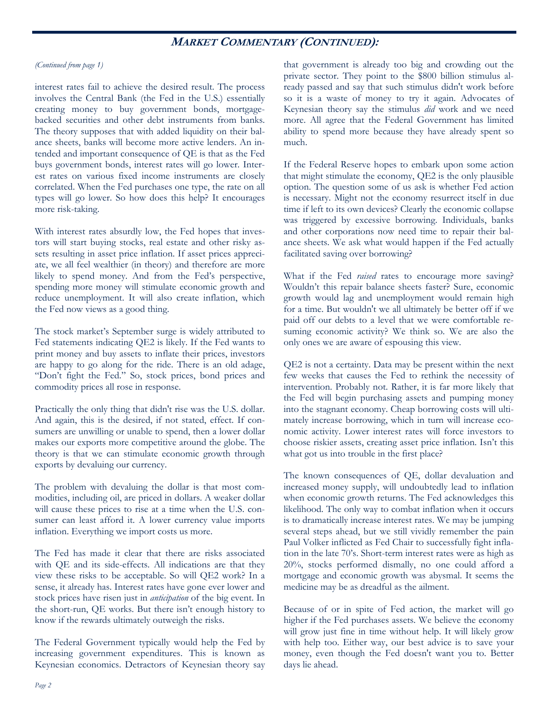### **MARKET COMMENTARY (CONTINUED):**

### *(Continued from page 1)*

interest rates fail to achieve the desired result. The process involves the Central Bank (the Fed in the U.S.) essentially creating money to buy government bonds, mortgagebacked securities and other debt instruments from banks. The theory supposes that with added liquidity on their balance sheets, banks will become more active lenders. An intended and important consequence of QE is that as the Fed buys government bonds, interest rates will go lower. Interest rates on various fixed income instruments are closely correlated. When the Fed purchases one type, the rate on all types will go lower. So how does this help? It encourages more risk-taking.

With interest rates absurdly low, the Fed hopes that investors will start buying stocks, real estate and other risky assets resulting in asset price inflation. If asset prices appreciate, we all feel wealthier (in theory) and therefore are more likely to spend money. And from the Fed's perspective, spending more money will stimulate economic growth and reduce unemployment. It will also create inflation, which the Fed now views as a good thing.

The stock market's September surge is widely attributed to Fed statements indicating QE2 is likely. If the Fed wants to print money and buy assets to inflate their prices, investors are happy to go along for the ride. There is an old adage, "Don't fight the Fed." So, stock prices, bond prices and commodity prices all rose in response.

Practically the only thing that didn't rise was the U.S. dollar. And again, this is the desired, if not stated, effect. If consumers are unwilling or unable to spend, then a lower dollar makes our exports more competitive around the globe. The theory is that we can stimulate economic growth through exports by devaluing our currency.

The problem with devaluing the dollar is that most commodities, including oil, are priced in dollars. A weaker dollar will cause these prices to rise at a time when the U.S. consumer can least afford it. A lower currency value imports inflation. Everything we import costs us more.

The Fed has made it clear that there are risks associated with QE and its side-effects. All indications are that they view these risks to be acceptable. So will QE2 work? In a sense, it already has. Interest rates have gone ever lower and stock prices have risen just in *anticipation* of the big event. In the short-run, QE works. But there isn't enough history to know if the rewards ultimately outweigh the risks.

The Federal Government typically would help the Fed by increasing government expenditures. This is known as Keynesian economics. Detractors of Keynesian theory say that government is already too big and crowding out the private sector. They point to the \$800 billion stimulus already passed and say that such stimulus didn't work before so it is a waste of money to try it again. Advocates of Keynesian theory say the stimulus *did* work and we need more. All agree that the Federal Government has limited ability to spend more because they have already spent so much.

If the Federal Reserve hopes to embark upon some action that might stimulate the economy, QE2 is the only plausible option. The question some of us ask is whether Fed action is necessary. Might not the economy resurrect itself in due time if left to its own devices? Clearly the economic collapse was triggered by excessive borrowing. Individuals, banks and other corporations now need time to repair their balance sheets. We ask what would happen if the Fed actually facilitated saving over borrowing?

What if the Fed *raised* rates to encourage more saving? Wouldn't this repair balance sheets faster? Sure, economic growth would lag and unemployment would remain high for a time. But wouldn't we all ultimately be better off if we paid off our debts to a level that we were comfortable resuming economic activity? We think so. We are also the only ones we are aware of espousing this view.

QE2 is not a certainty. Data may be present within the next few weeks that causes the Fed to rethink the necessity of intervention. Probably not. Rather, it is far more likely that the Fed will begin purchasing assets and pumping money into the stagnant economy. Cheap borrowing costs will ultimately increase borrowing, which in turn will increase economic activity. Lower interest rates will force investors to choose riskier assets, creating asset price inflation. Isn't this what got us into trouble in the first place?

The known consequences of QE, dollar devaluation and increased money supply, will undoubtedly lead to inflation when economic growth returns. The Fed acknowledges this likelihood. The only way to combat inflation when it occurs is to dramatically increase interest rates. We may be jumping several steps ahead, but we still vividly remember the pain Paul Volker inflicted as Fed Chair to successfully fight inflation in the late 70's. Short-term interest rates were as high as 20%, stocks performed dismally, no one could afford a mortgage and economic growth was abysmal. It seems the medicine may be as dreadful as the ailment.

Because of or in spite of Fed action, the market will go higher if the Fed purchases assets. We believe the economy will grow just fine in time without help. It will likely grow with help too. Either way, our best advice is to save your money, even though the Fed doesn't want you to. Better days lie ahead.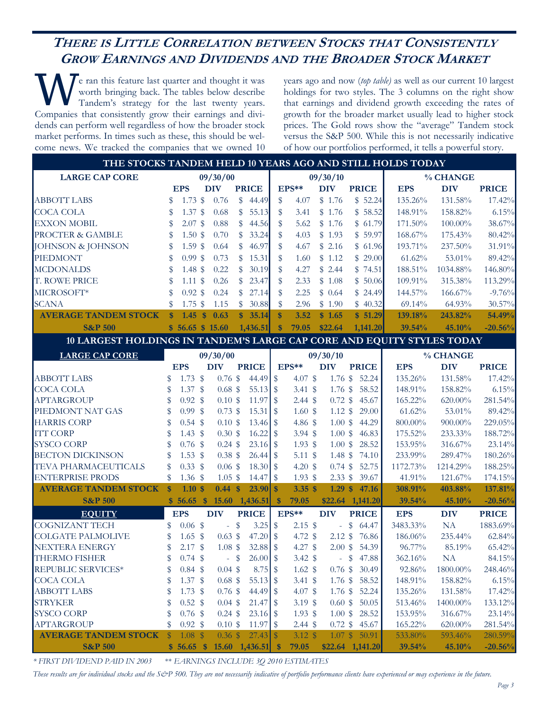## **THERE IS LITTLE CORRELATION BETWEEN STOCKS THAT CONSISTENTLY GROW EARNINGS AND DIVIDENDS AND THE BROADER STOCK MARKET**

W e ran this feature last quarter and thought it was<br>
Tandem's strategy for the last twenty years.<br>
Comparise that applituately grow their comings and diviworth bringing back. The tables below describe Companies that consistently grow their earnings and dividends can perform well regardless of how the broader stock market performs. In times such as these, this should be welcome news. We tracked the companies that we owned 10

years ago and now (*top table)* as well as our current 10 largest holdings for two styles. The 3 columns on the right show that earnings and dividend growth exceeding the rates of growth for the broader market usually lead to higher stock prices. The Gold rows show the "average" Tandem stock versus the S&P 500. While this is not necessarily indicative of how our portfolios performed, it tells a powerful story.

| THE STOCKS TANDEM HELD 10 YEARS AGO AND STILL HOLDS TODAY              |                  |                                 |              |                    |               |                |                    |                    |                    |               |                          |            |            |              |
|------------------------------------------------------------------------|------------------|---------------------------------|--------------|--------------------|---------------|----------------|--------------------|--------------------|--------------------|---------------|--------------------------|------------|------------|--------------|
| <b>LARGE CAP CORE</b>                                                  |                  |                                 | 09/30/00     |                    |               |                | 09/30/10           |                    |                    | % CHANGE      |                          |            |            |              |
|                                                                        |                  | <b>EPS</b>                      |              | <b>DIV</b>         |               | <b>PRICE</b>   |                    | EPS**              | <b>DIV</b>         |               | <b>PRICE</b>             | <b>EPS</b> | <b>DIV</b> | <b>PRICE</b> |
| <b>ABBOTT LABS</b>                                                     | \$               | $1.73$ \$                       |              | 0.76               | \$            | 44.49          | \$                 | 4.07               | \$1.76             |               | \$52.24                  | 135.26%    | 131.58%    | 17.42%       |
| <b>COCA COLA</b>                                                       | \$               | $1.37$ \$                       |              | 0.68               | \$            | 55.13          | \$                 | 3.41               | \$1.76             |               | \$58.52                  | 148.91%    | 158.82%    | 6.15%        |
| <b>EXXON MOBIL</b>                                                     | \$               | $2.07$ \$                       |              | 0.88               | \$            | 44.56          | \$                 | 5.62               | \$1.76             |               | \$61.79                  | 171.50%    | 100.00%    | 38.67%       |
| PROCTER & GAMBLE                                                       | \$               | 1.50~\$                         |              | 0.70               | \$            | 33.24          | \$                 | 4.03               | \$1.93             |               | \$59.97                  | 168.67%    | 175.43%    | 80.42%       |
| JOHNSON & JOHNSON                                                      | \$               | $1.59$ \$                       |              | 0.64               | \$            | 46.97          | \$                 | 4.67               | \$2.16             |               | \$61.96                  | 193.71%    | 237.50%    | 31.91%       |
| <b>PIEDMONT</b>                                                        | \$               | $0.99$ \$                       |              | 0.73               | \$            | 15.31          | \$                 | 1.60               | \$1.12             |               | \$29.00                  | 61.62%     | 53.01%     | 89.42%       |
| <b>MCDONALDS</b>                                                       | \$               | 1.48~\$                         |              | 0.22               | \$            | 30.19          | \$                 | 4.27               | \$2.44             |               | \$74.51                  | 188.51%    | 1034.88%   | 146.80%      |
| T. ROWE PRICE                                                          | \$               | $1.11$ \$                       |              | 0.26               | \$            | 23.47          | \$                 | 2.33               | \$1.08             |               | \$50.06                  | 109.91%    | 315.38%    | 113.29%      |
| MICROSOFT*                                                             | \$               | $0.92$ \$                       |              | 0.24               | \$            | 27.14          | \$                 | 2.25               | \$0.64             |               | \$24.49                  | 144.57%    | 166.67%    | $-9.76%$     |
| <b>SCANA</b>                                                           | \$               | $1.75$ \$                       |              | 1.15               | \$            | 30.88          | \$                 | 2.96               | \$1.90             |               | \$40.32                  | 69.14%     | 64.93%     | 30.57%       |
| <b>AVERAGE TANDEM STOCK</b>                                            | $\boldsymbol{s}$ | 1.45                            | $\mathbf{s}$ | 0.63               | S             | 35.14          | $\mathbf{\hat{s}}$ | 3.52               | \$1.65             |               | \$51.29                  | 139.18%    | 243.82%    | 54.49%       |
| <b>S&amp;P 500</b>                                                     |                  | \$56.65 \$15.60                 |              |                    |               | 1,436.51       | $\boldsymbol{\$}$  | 79.05              | \$22.64            |               | 1,141.20                 | 39.54%     | 45.10%     | $-20.56%$    |
| 10 LARGEST HOLDINGS IN TANDEM'S LARGE CAP CORE AND EQUITY STYLES TODAY |                  |                                 |              |                    |               |                |                    |                    |                    |               |                          |            |            |              |
| <b>LARGE CAP CORE</b>                                                  |                  |                                 |              | 09/30/00           |               |                |                    |                    | 09/30/10           |               |                          |            | % CHANGE   |              |
|                                                                        |                  | <b>EPS</b>                      |              | <b>DIV</b>         |               | <b>PRICE</b>   |                    | EPS**              | <b>DIV</b>         |               | <b>PRICE</b>             | <b>EPS</b> | <b>DIV</b> | <b>PRICE</b> |
| <b>ABBOTT LABS</b>                                                     | \$               | $1.73$ \$                       |              | $0.76$ \$          |               |                |                    | $4.07$ \$          | $1.76$ \$          |               | 52.24                    | 135.26%    | 131.58%    | 17.42%       |
| <b>COCA COLA</b>                                                       | \$               | 1.37 <sup>8</sup>               |              | $0.68$ \$          |               |                |                    | $3.41\;$ \$        | $1.76$ \$          |               | 58.52                    | 148.91%    | 158.82%    | 6.15%        |
| <b>APTARGROUP</b>                                                      | \$               | $0.92 \text{ }$ \$              |              | 0.10~\$            |               |                |                    | $2.44 \text{ }$ \$ | $0.72$ \$          |               | 45.67                    | 165.22%    | 620.00%    | 281.54%      |
| PIEDMONT NAT GAS                                                       | \$               | $0.99$ \$                       |              | $0.73$ \$          |               |                |                    | 1.60~\$            | $1.12 \text{ }$ \$ |               | 29.00                    | 61.62%     | 53.01%     | 89.42%       |
| <b>HARRIS CORP</b>                                                     | \$               | $0.54$ \$                       |              | $0.10 \text{ }$ \$ |               |                |                    | 4.86 $$$           | 1.00~\$            |               | 44.29                    | $800.00\%$ | 900.00%    | 229.05%      |
| <b>ITT CORP</b>                                                        | \$               | 1.43 $$$                        |              | $0.30 \text{ }$ \$ |               | $16.22$ \$     |                    | $3.94$ \$          | 1.00~\$            |               | 46.83                    | 175.52%    | 233.33%    | 188.72%      |
| <b>SYSCO CORP</b>                                                      | \$               | $0.76$ \$                       |              | $0.24$ \$          |               | $23.16$ \$     |                    | $1.93$ \$          | $1.00 \text{ }$ \$ |               | 28.52                    | 153.95%    | 316.67%    | 23.14%       |
| <b>BECTON DICKINSON</b>                                                | \$               | $1.53$ \$                       |              | $0.38$ \$          |               |                |                    | 5.11 \$            | 1.48S              |               | 74.10                    | 233.99%    | 289.47%    | 180.26%      |
| TEVA PHARMACEUTICALS                                                   | \$               | $0.33$ \$                       |              | $0.06$ \$          |               | $18.30$ \$     |                    | 4.20 $$$           | $0.74$ \$          |               | 52.75                    | 1172.73%   | 1214.29%   | 188.25%      |
| <b>ENTERPRISE PRODS</b>                                                | \$               | $1.36\;$ \$                     |              | $1.05$ \$          |               | 14.47          | $\$\$              | $1.93$ \$          | $2.33$ \$          |               | 39.67                    | 41.91%     | 121.67%    | 174.15%      |
| <b>AVERAGE TANDEM STOCK</b>                                            | $\mathbf{\$}$    | $1.10*$                         |              | $0.44 \text{ }$ \$ |               | $23.90$ \$     |                    | $3.35$ \$          | $1.29$ \$          |               | 47.16                    | 308.91%    | 403.88%    | 137.81%      |
| <b>S&amp;P 500</b>                                                     |                  | $$56.65$ \$                     |              |                    |               | 15.60 1,436.51 | $\sqrt[3]{5}$      | 79.05              | \$22.64 1,141.20   |               |                          | 39.54%     | 45.10%     | $-20.56%$    |
| <b>EQUITY</b>                                                          |                  | <b>EPS</b>                      |              | <b>DIV</b>         |               | <b>PRICE</b>   |                    | EPS**              | <b>DIV</b>         |               | <b>PRICE</b>             | <b>EPS</b> | <b>DIV</b> | <b>PRICE</b> |
| <b>COGNIZANT TECH</b>                                                  | \$               | 0.06~\$                         |              | $\Box$             | $\sqrt[6]{3}$ |                |                    | $2.15$ \$          | $\omega$           | $\mathcal{S}$ | 64.47                    | 3483.33%   | NA         | 1883.69%     |
| <b>COLGATE PALMOLIVE</b>                                               | \$               | $1.65$ \$                       |              | 0.63~\$            |               |                |                    | 4.72 \$            | $2.12 \text{ }$ \$ |               | 76.86                    | 186.06%    | 235.44%    | 62.84%       |
| <b>NEXTERA ENERGY</b>                                                  | \$               | $2.17$ \$                       |              | 1.08~\$            |               | $32.88$ \$     |                    | $4.27$ \$          | 2.00~\$            |               | 54.39                    | 96.77%     | 85.19%     | 65.42%       |
| THERMO FISHER                                                          | \$               | $0.74$ \$                       |              |                    | $-$ \$        | $26.00$ \$     |                    | $3.42 \text{ }$    |                    |               | $-$ \$ 47.88             | 362.16%    | <b>NA</b>  | 84.15%       |
| REPUBLIC SERVICES*                                                     | \$               | $0.84$ \$                       |              | $0.04$ \$          |               | $8.75$ \$      |                    | $1.62 \text{ }$ \$ | $0.76$ \$          |               | 30.49                    | 92.86%     | 1800.00%   | 248.46%      |
| <b>COCA COLA</b>                                                       |                  | 1.37 <sup>°</sup>               |              | $0.68$ \$          |               | $55.13$ \$     |                    | $3.41\;$ \$        |                    |               | 1.76 \$ 58.52            | 148.91%    | 158.82%    | 6.15%        |
| <b>ABBOTT LABS</b>                                                     |                  | 1.73S                           |              | $0.76$ \$          |               |                |                    | 4.07 \$            |                    |               | 1.76 \$ 52.24            | 135.26%    | 131.58%    | 17.42%       |
| <b>STRYKER</b>                                                         |                  | $0.52$ \$                       |              | $0.04$ \$          |               | $21.47$ \$     |                    | 3.19 $$$           |                    |               | $0.60 \text{ }$ \$ 50.05 | 513.46%    | 1400.00%   | 133.12%      |
| <b>SYSCO CORP</b>                                                      | S                | $0.76$ \$                       |              | $0.24$ \$          |               |                |                    | $1.93$ \$          |                    |               | 1.00 \$ 28.52            | 153.95%    | 316.67%    | 23.14%       |
| <b>APTARGROUP</b>                                                      | \$               | $0.92 \text{ }$ \$              |              | $0.10 \text{ }$ \$ |               |                |                    | $2.44 \text{ }$ \$ |                    |               | $0.72$ \$ 45.67          | 165.22%    | $620.00\%$ | 281.54%      |
| <b>AVERAGE TANDEM STOCK</b>                                            | $\$\$            | $1.08$ \$                       |              | $0.36$ \$          |               |                |                    | 3.12 $$$           |                    |               | 1.07 \$ 50.91            | 533.80%    | 593.46%    | 280.59%      |
| <b>S&amp;P 500</b>                                                     |                  | $$56.65$ $$15.60$ $1,436.51$ \$ |              |                    |               |                |                    | 79.05              |                    |               | $$22.64$ 1,141.20        | 39.54%     | 45.10%     | $-20.56%$    |

*\* FIRST DIVIDEND PAID IN 2003* \*\* *EARNINGS INCLUDE 3Q 2010 ESTIMATES* 

These results are for individual stocks and the S&P 500. They are not necessarily indicative of portfolio performance clients have experienced or may experience in the future.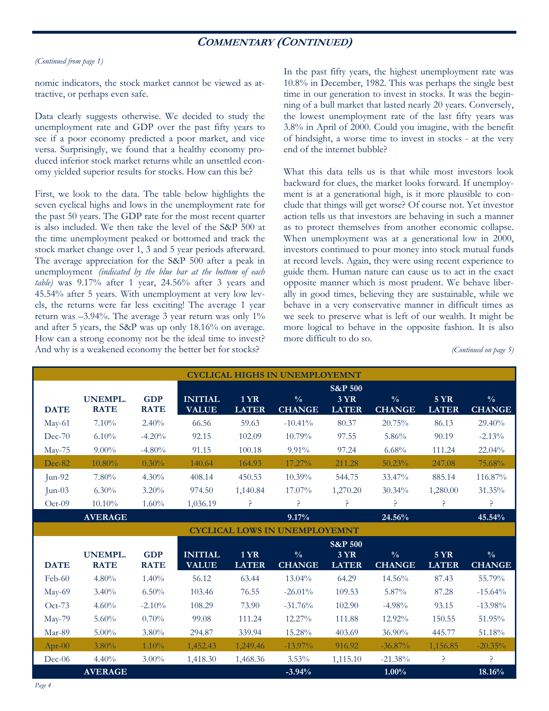### **COMMENTARY (CONTINUED)**

#### *(Continued from page 1)*

nomic indicators, the stock market cannot be viewed as attractive, or perhaps even safe.

Data clearly suggests otherwise. We decided to study the unemployment rate and GDP over the past fifty years to see if a poor economy predicted a poor market, and vice versa. Surprisingly, we found that a healthy economy produced inferior stock market returns while an unsettled economy yielded superior results for stocks. How can this be?

First, we look to the data. The table below highlights the seven cyclical highs and lows in the unemployment rate for the past 50 years. The GDP rate for the most recent quarter is also included. We then take the level of the S&P 500 at the time unemployment peaked or bottomed and track the stock market change over 1, 3 and 5 year periods afterward. The average appreciation for the S&P 500 after a peak in unemployment *(indicated by the blue bar at the bottom of each table)* was 9.17% after 1 year, 24.56% after 3 years and 45.54% after 5 years. With unemployment at very low levels, the returns were far less exciting! The average 1 year return was  $-3.94\%$ . The average 3 year return was only  $1\%$ and after 5 years, the S&P was up only 18.16% on average. How can a strong economy not be the ideal time to invest? And why is a weakened economy the better bet for stocks?

In the past fifty years, the highest unemployment rate was 10.8% in December, 1982. This was perhaps the single best time in our generation to invest in stocks. It was the beginning of a bull market that lasted nearly 20 years. Conversely, the lowest unemployment rate of the last fifty years was 3.8% in April of 2000. Could you imagine, with the benefit of hindsight, a worse time to invest in stocks - at the very end of the internet bubble?

What this data tells us is that while most investors look backward for clues, the market looks forward. If unemployment is at a generational high, is it more plausible to conclude that things will get worse? Of course not. Yet investor action tells us that investors are behaving in such a manner as to protect themselves from another economic collapse. When unemployment was at a generational low in 2000, investors continued to pour money into stock mutual funds at record levels. Again, they were using recent experience to guide them. Human nature can cause us to act in the exact opposite manner which is most prudent. We behave liberally in good times, believing they are sustainable, while we behave in a very conservative manner in difficult times as we seek to preserve what is left of our wealth. It might be more logical to behave in the opposite fashion. It is also more difficult to do so.

*(Continued on page 5)* 

| <b>CYCLICAL HIGHS IN UNEMPLOYEMNT</b> |                               |                           |                                |                             |                                |                                                   |                                |                             |                                |  |
|---------------------------------------|-------------------------------|---------------------------|--------------------------------|-----------------------------|--------------------------------|---------------------------------------------------|--------------------------------|-----------------------------|--------------------------------|--|
| <b>DATE</b>                           | <b>UNEMPL.</b><br><b>RATE</b> | <b>GDP</b><br><b>RATE</b> | <b>INITIAL</b><br><b>VALUE</b> | <b>1 YR</b><br><b>LATER</b> | $\frac{0}{0}$<br><b>CHANGE</b> | <b>S&amp;P 500</b><br><b>3 YR</b><br><b>LATER</b> | $\frac{0}{0}$<br><b>CHANGE</b> | <b>5 YR</b><br><b>LATER</b> | $\frac{0}{0}$<br><b>CHANGE</b> |  |
| May-61                                | 7.10%                         | 2.40%                     | 66.56                          | 59.63                       | $-10.41\%$                     | 80.37                                             | 20.75%                         | 86.13                       | 29.40%                         |  |
| $Dec-70$                              | 6.10%                         | $-4.20%$                  | 92.15                          | 102.09                      | 10.79%                         | 97.55                                             | 5.86%                          | 90.19                       | $-2.13%$                       |  |
| May-75                                | $9.00\%$                      | $-4.80%$                  | 91.15                          | 100.18                      | 9.91%                          | 97.24                                             | 6.68%                          | 111.24                      | 22.04%                         |  |
| Dec-82                                | 10.80%                        | $0.30\%$                  | 140.64                         | 164.93                      | 17.27%                         | 211.28                                            | 50.23%                         | 247.08                      | 75.68%                         |  |
| Jun-92                                | 7.80%                         | $4.30\%$                  | 408.14                         | 450.53                      | $10.39\%$                      | 544.75                                            | 33.47%                         | 885.14                      | 116.87%                        |  |
| $Jun-03$                              | $6.30\%$                      | 3.20%                     | 974.50                         | 1,140.84                    | 17.07%                         | 1,270.20                                          | 30.34%                         | 1,280.00                    | 31.35%                         |  |
| $Oct-09$                              | 10.10%                        | 1.60%                     | 1,036.19                       | P                           | P                              | P                                                 | P                              | ?                           | P                              |  |
|                                       | <b>AVERAGE</b>                |                           |                                |                             | 9.17%                          |                                                   | 24.56%                         |                             | 45.54%                         |  |
| <b>CYCLICAL LOWS IN UNEMPLOYEMNT</b>  |                               |                           |                                |                             |                                |                                                   |                                |                             |                                |  |
|                                       |                               |                           |                                |                             |                                |                                                   |                                |                             |                                |  |
|                                       |                               |                           |                                |                             |                                | <b>S&amp;P 500</b>                                |                                |                             |                                |  |
| <b>DATE</b>                           | <b>UNEMPL.</b><br><b>RATE</b> | <b>GDP</b><br><b>RATE</b> | <b>INITIAL</b><br><b>VALUE</b> | <b>1YR</b><br><b>LATER</b>  | $\frac{0}{0}$<br><b>CHANGE</b> | <b>3 YR</b><br><b>LATER</b>                       | $\frac{0}{0}$<br><b>CHANGE</b> | <b>5 YR</b><br><b>LATER</b> | $\frac{0}{0}$<br><b>CHANGE</b> |  |
| $Feb-60$                              | 4.80%                         | 1.40%                     | 56.12                          | 63.44                       | 13.04%                         | 64.29                                             | 14.56%                         | 87.43                       | 55.79%                         |  |
| May-69                                | 3.40%                         | 6.50%                     | 103.46                         | 76.55                       | $-26.01\%$                     | 109.53                                            | 5.87%                          | 87.28                       | $-15.64%$                      |  |
| Oct-73                                | 4.60%                         | $-2.10%$                  | 108.29                         | 73.90                       | $-31.76%$                      | 102.90                                            | $-4.98%$                       | 93.15                       | $-13.98%$                      |  |
| $May-79$                              | 5.60%                         | 0.70%                     | 99.08                          | 111.24                      | 12.27%                         | 111.88                                            | 12.92%                         | 150.55                      | 51.95%                         |  |
| Mar-89                                | $5.00\%$                      | 3.80%                     | 294.87                         | 339.94                      | 15.28%                         | 403.69                                            | 36.90%                         | 445.77                      | 51.18%                         |  |
| $Apr-00$                              | $3.80\%$                      | 1.10%                     | 1,452.43                       | 1,249.46                    | $-13.97\%$                     | 916.92                                            | $-36.87\%$                     | 1,156.85                    | $-20.35%$                      |  |
| $Dec-06$                              | 4.40%                         | $3.00\%$                  | 1,418.30                       | 1,468.36                    | 3.53%                          | 1,115.10                                          | $-21.38%$                      | P.                          | ę.                             |  |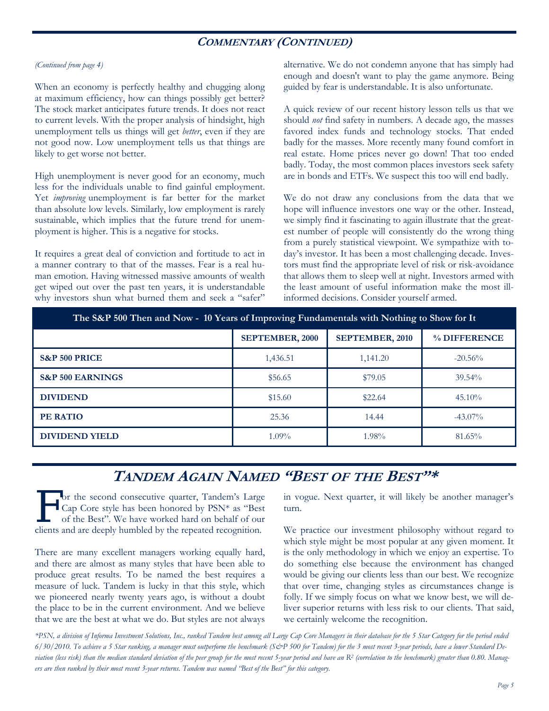### **COMMENTARY (CONTINUED)**

### *(Continued from page 4)*

When an economy is perfectly healthy and chugging along at maximum efficiency, how can things possibly get better? The stock market anticipates future trends. It does not react to current levels. With the proper analysis of hindsight, high unemployment tells us things will get *better*, even if they are not good now. Low unemployment tells us that things are likely to get worse not better.

High unemployment is never good for an economy, much less for the individuals unable to find gainful employment. Yet *improving* unemployment is far better for the market than absolute low levels. Similarly, low employment is rarely sustainable, which implies that the future trend for unemployment is higher. This is a negative for stocks.

It requires a great deal of conviction and fortitude to act in a manner contrary to that of the masses. Fear is a real human emotion. Having witnessed massive amounts of wealth get wiped out over the past ten years, it is understandable why investors shun what burned them and seek a "safer"

alternative. We do not condemn anyone that has simply had enough and doesn't want to play the game anymore. Being guided by fear is understandable. It is also unfortunate.

A quick review of our recent history lesson tells us that we should *not* find safety in numbers. A decade ago, the masses favored index funds and technology stocks. That ended badly for the masses. More recently many found comfort in real estate. Home prices never go down! That too ended badly. Today, the most common places investors seek safety are in bonds and ETFs. We suspect this too will end badly.

We do not draw any conclusions from the data that we hope will influence investors one way or the other. Instead, we simply find it fascinating to again illustrate that the greatest number of people will consistently do the wrong thing from a purely statistical viewpoint. We sympathize with today's investor. It has been a most challenging decade. Investors must find the appropriate level of risk or risk-avoidance that allows them to sleep well at night. Investors armed with the least amount of useful information make the most illinformed decisions. Consider yourself armed.

| The S&P 500 Then and Now - 10 Years of Improving Fundamentals with Nothing to Show for It |                 |                        |              |  |  |  |  |  |  |
|-------------------------------------------------------------------------------------------|-----------------|------------------------|--------------|--|--|--|--|--|--|
|                                                                                           | SEPTEMBER, 2000 | <b>SEPTEMBER, 2010</b> | % DIFFERENCE |  |  |  |  |  |  |
| <b>S&amp;P 500 PRICE</b>                                                                  | 1,436.51        | 1,141.20               | $-20.56\%$   |  |  |  |  |  |  |
| <b>S&amp;P 500 EARNINGS</b>                                                               | \$56.65         | \$79.05                | 39.54%       |  |  |  |  |  |  |
| <b>DIVIDEND</b>                                                                           | \$15.60         | \$22.64                | $45.10\%$    |  |  |  |  |  |  |
| PE RATIO                                                                                  | 25.36           | 14.44                  | $-43.07\%$   |  |  |  |  |  |  |
| <b>DIVIDEND YIELD</b>                                                                     | $1.09\%$        | 1.98%                  | 81.65%       |  |  |  |  |  |  |

## **TANDEM AGAIN NAMED "BEST OF THE BEST"\***

**L** or the second consecutive quarter, Tandem's Large Cap Core style has been honored by PSN\* as "Best of the Best". We have worked hard on behalf of our clients and are deeply humbled by the repeated recognition.

There are many excellent managers working equally hard, and there are almost as many styles that have been able to produce great results. To be named the best requires a measure of luck. Tandem is lucky in that this style, which we pioneered nearly twenty years ago, is without a doubt the place to be in the current environment. And we believe that we are the best at what we do. But styles are not always

in vogue. Next quarter, it will likely be another manager's turn.

We practice our investment philosophy without regard to which style might be most popular at any given moment. It is the only methodology in which we enjoy an expertise. To do something else because the environment has changed would be giving our clients less than our best. We recognize that over time, changing styles as circumstances change is folly. If we simply focus on what we know best, we will deliver superior returns with less risk to our clients. That said, we certainly welcome the recognition.

*\*PSN, a division of Informa Investment Solutions, Inc., ranked Tandem best among all Large Cap Core Managers in their database for the 5 Star Category for the period ended 6/30/2010. To achieve a 5 Star ranking, a manager must outperform the benchmark (S&P 500 for Tandem) for the 3 most recent 3-year periods, have a lower Standard Deviation (less risk) than the median standard deviation of the peer group for the most recent 5-year period and have an R2 (correlation to the benchmark) greater than 0.80. Managers are then ranked by their most recent 3-year returns. Tandem was named "Best of the Best" for this category.*